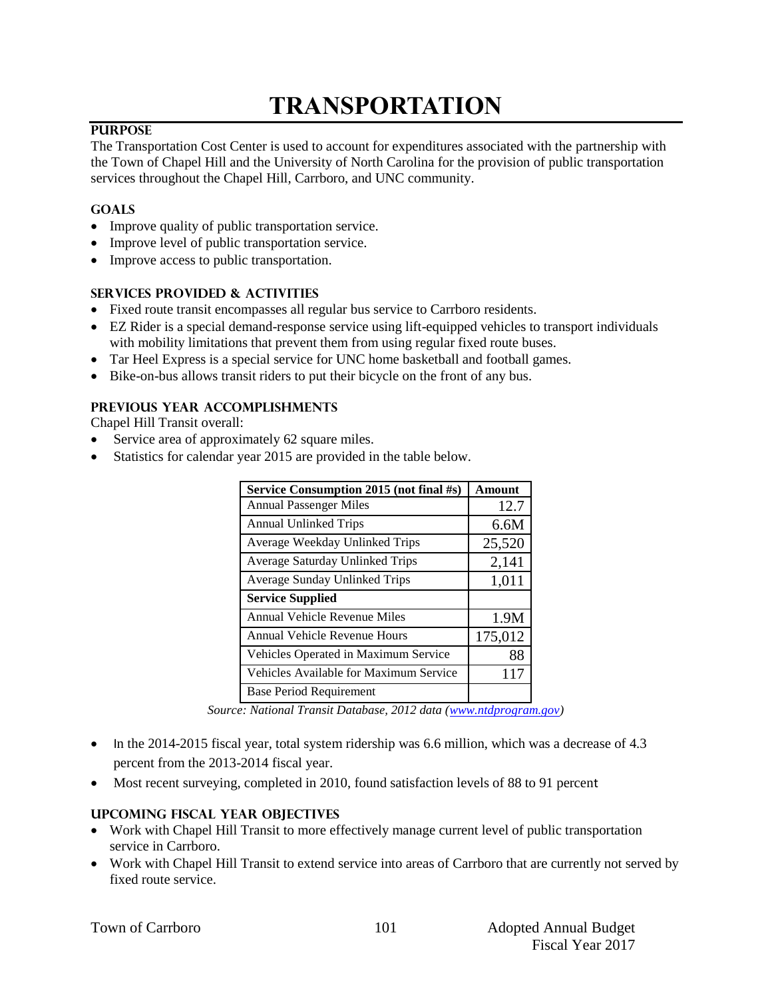# **TRANSPORTATION**

#### **PURPOSE**

The Transportation Cost Center is used to account for expenditures associated with the partnership with the Town of Chapel Hill and the University of North Carolina for the provision of public transportation services throughout the Chapel Hill, Carrboro, and UNC community.

#### **GOALS**

- Improve quality of public transportation service.
- Improve level of public transportation service.
- Improve access to public transportation.

#### **SERVICES PROVIDED & ACTIVITIES**

- Fixed route transit encompasses all regular bus service to Carrboro residents.
- EZ Rider is a special demand-response service using lift-equipped vehicles to transport individuals with mobility limitations that prevent them from using regular fixed route buses.
- Tar Heel Express is a special service for UNC home basketball and football games.
- Bike-on-bus allows transit riders to put their bicycle on the front of any bus.

#### **PREVIOUS YEAR ACCOMPLISHMENTS**

Chapel Hill Transit overall:

- Service area of approximately 62 square miles.
- Statistics for calendar year 2015 are provided in the table below.

| Service Consumption 2015 (not final #s) | Amount  |
|-----------------------------------------|---------|
| <b>Annual Passenger Miles</b>           | 12.7    |
| <b>Annual Unlinked Trips</b>            | 6.6M    |
| Average Weekday Unlinked Trips          | 25,520  |
| Average Saturday Unlinked Trips         | 2,141   |
| Average Sunday Unlinked Trips           | 1,011   |
| <b>Service Supplied</b>                 |         |
| <b>Annual Vehicle Revenue Miles</b>     | 1.9M    |
| <b>Annual Vehicle Revenue Hours</b>     | 175,012 |
| Vehicles Operated in Maximum Service    | 88      |
| Vehicles Available for Maximum Service  | 117     |
| <b>Base Period Requirement</b>          |         |

*Source: National Transit Database, 2012 data [\(www.ntdprogram.gov\)](http://www.ntdprogram.gov/)* 

- $\bullet$  In the 2014-2015 fiscal year, total system ridership was 6.6 million, which was a decrease of 4.3 percent from the 2013-2014 fiscal year.
- Most recent surveying, completed in 2010, found satisfaction levels of 88 to 91 percent

#### **UPCOMING FISCAL YEAR OBJECTIVES**

- Work with Chapel Hill Transit to more effectively manage current level of public transportation service in Carrboro.
- Work with Chapel Hill Transit to extend service into areas of Carrboro that are currently not served by fixed route service.

|  |  | Town of Carrboro |
|--|--|------------------|
|--|--|------------------|